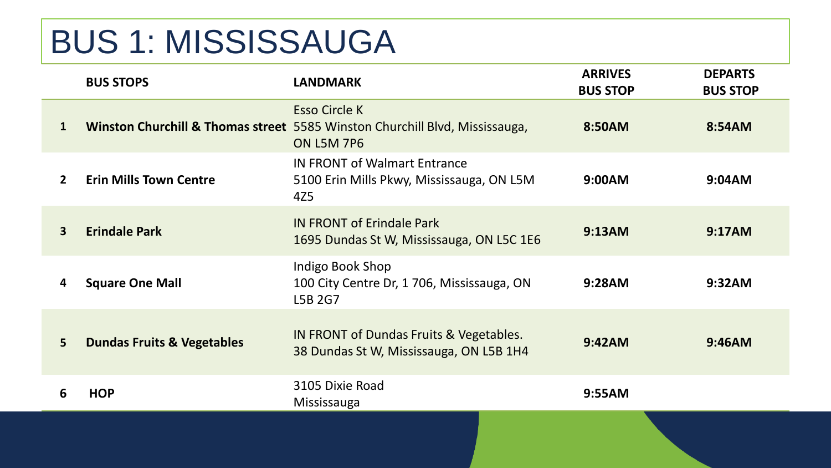## BUS 1: MISSISSAUGA

|                | <b>BUS STOPS</b>                      | <b>LANDMARK</b>                                                                                                          | <b>ARRIVES</b><br><b>BUS STOP</b> | <b>DEPARTS</b><br><b>BUS STOP</b> |
|----------------|---------------------------------------|--------------------------------------------------------------------------------------------------------------------------|-----------------------------------|-----------------------------------|
| 1              |                                       | <b>Esso Circle K</b><br>Winston Churchill & Thomas street 5585 Winston Churchill Blvd, Mississauga,<br><b>ON L5M 7P6</b> | 8:50AM                            | 8:54AM                            |
| $\overline{2}$ | <b>Erin Mills Town Centre</b>         | <b>IN FRONT of Walmart Entrance</b><br>5100 Erin Mills Pkwy, Mississauga, ON L5M<br>4Z5                                  | 9:00AM                            | 9:04AM                            |
| 3              | <b>Erindale Park</b>                  | <b>IN FRONT of Erindale Park</b><br>1695 Dundas St W, Mississauga, ON L5C 1E6                                            | 9:13AM                            | 9:17AM                            |
| 4              | <b>Square One Mall</b>                | Indigo Book Shop<br>100 City Centre Dr, 1706, Mississauga, ON<br>L5B 2G7                                                 | 9:28AM                            | 9:32AM                            |
| 5              | <b>Dundas Fruits &amp; Vegetables</b> | IN FRONT of Dundas Fruits & Vegetables.<br>38 Dundas St W, Mississauga, ON L5B 1H4                                       | 9:42AM                            | 9:46AM                            |
| 6              | <b>HOP</b>                            | 3105 Dixie Road<br>Mississauga                                                                                           | 9:55AM                            |                                   |
|                |                                       |                                                                                                                          |                                   |                                   |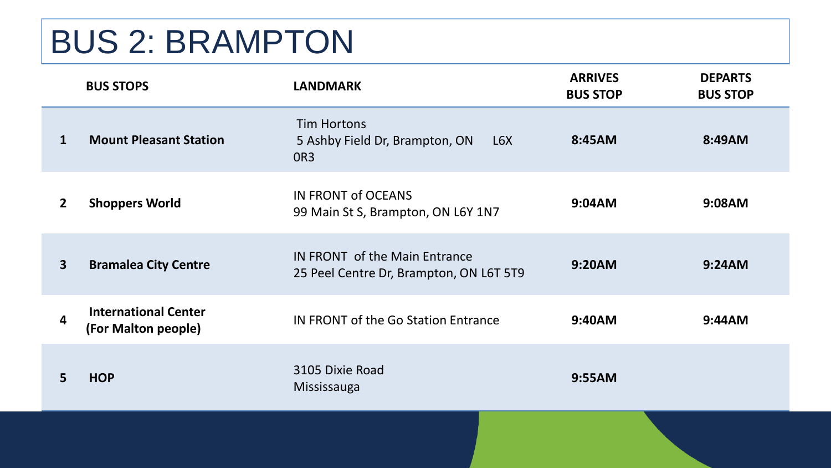## BUS 2: BRAMPTON

|              | <b>BUS STOPS</b>                                   | <b>LANDMARK</b>                                                          | <b>ARRIVES</b><br><b>BUS STOP</b> | <b>DEPARTS</b><br><b>BUS STOP</b> |
|--------------|----------------------------------------------------|--------------------------------------------------------------------------|-----------------------------------|-----------------------------------|
| 1            | <b>Mount Pleasant Station</b>                      | Tim Hortons<br>5 Ashby Field Dr, Brampton, ON<br>L6X<br>OR <sub>3</sub>  | 8:45AM                            | 8:49AM                            |
| $\mathbf{2}$ | <b>Shoppers World</b>                              | IN FRONT of OCEANS<br>99 Main St S, Brampton, ON L6Y 1N7                 | 9:04AM                            | 9:08AM                            |
| $\mathbf{3}$ | <b>Bramalea City Centre</b>                        | IN FRONT of the Main Entrance<br>25 Peel Centre Dr, Brampton, ON L6T 5T9 | 9:20AM                            | 9:24AM                            |
| 4            | <b>International Center</b><br>(For Malton people) | IN FRONT of the Go Station Entrance                                      | 9:40AM                            | 9:44AM                            |
| 5.           | <b>HOP</b>                                         | 3105 Dixie Road<br>Mississauga                                           | 9:55AM                            |                                   |
|              |                                                    |                                                                          |                                   |                                   |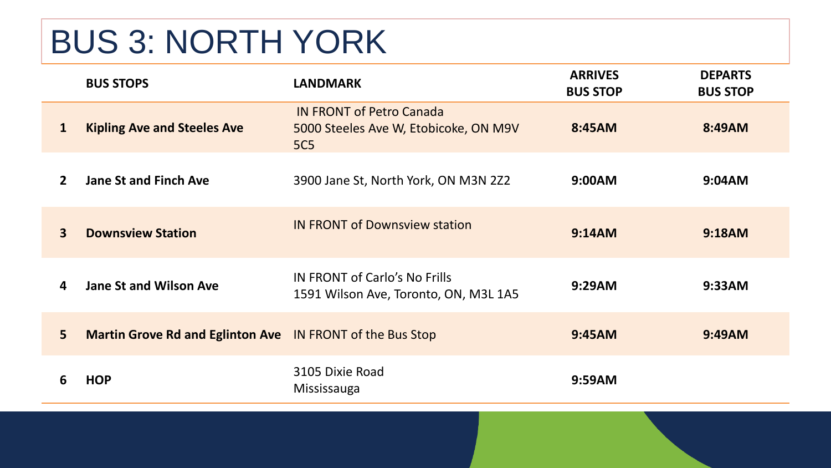## BUS 3: NORTH YORK

|                         | <b>BUS STOPS</b>                                          | <b>LANDMARK</b>                                                                        | <b>ARRIVES</b><br><b>BUS STOP</b> | <b>DEPARTS</b><br><b>BUS STOP</b> |
|-------------------------|-----------------------------------------------------------|----------------------------------------------------------------------------------------|-----------------------------------|-----------------------------------|
| 1                       | <b>Kipling Ave and Steeles Ave</b>                        | <b>IN FRONT of Petro Canada</b><br>5000 Steeles Ave W, Etobicoke, ON M9V<br><b>5C5</b> | 8:45AM                            | 8:49AM                            |
| $\overline{2}$          | <b>Jane St and Finch Ave</b>                              | 3900 Jane St, North York, ON M3N 2Z2                                                   | 9:00AM                            | 9:04AM                            |
| $\overline{\mathbf{3}}$ | <b>Downsview Station</b>                                  | <b>IN FRONT of Downsview station</b>                                                   | 9:14AM                            | 9:18AM                            |
| 4                       | <b>Jane St and Wilson Ave</b>                             | IN FRONT of Carlo's No Frills<br>1591 Wilson Ave, Toronto, ON, M3L 1A5                 | 9:29AM                            | 9:33AM                            |
| 5 <sup>1</sup>          | Martin Grove Rd and Eglinton Ave IN FRONT of the Bus Stop |                                                                                        | 9:45AM                            | 9:49AM                            |
| 6                       | <b>HOP</b>                                                | 3105 Dixie Road<br>Mississauga                                                         | 9:59AM                            |                                   |